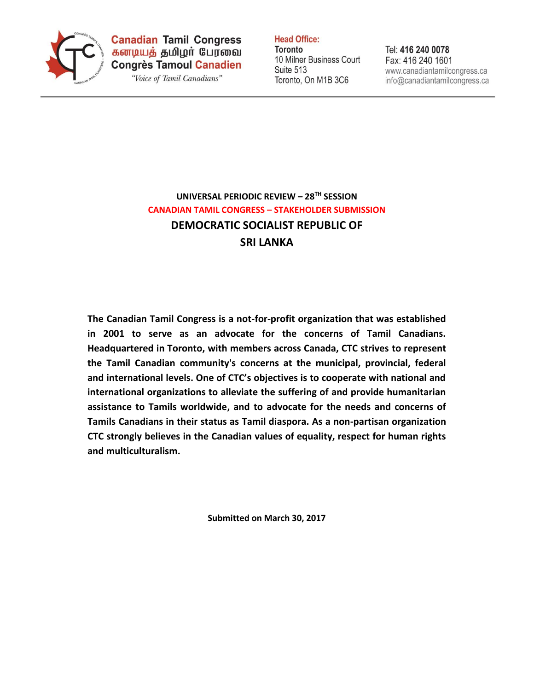

**Canadian Tamil Congress** கனடியத் தமிழர் பேரவை **Congrès Tamoul Canadien** 

"Voice of Tamil Canadians"

**Head Office: Toronto** 10 Milner Business Court Suite 513

Toronto, On M1B 3C6

Tel: 416 240 0078 Fax: 416 240 1601 www.canadiantamilcongress.ca info@canadiantamilcongress.ca

# **UNIVERSAL PERIODIC REVIEW – 28TH SESSION CANADIAN TAMIL CONGRESS – STAKEHOLDER SUBMISSION DEMOCRATIC SOCIALIST REPUBLIC OF SRI LANKA**

**The Canadian Tamil Congress is a not-for-profit organization that was established in 2001 to serve as an advocate for the concerns of Tamil Canadians. Headquartered in Toronto, with members across Canada, CTC strives to represent the Tamil Canadian community's concerns at the municipal, provincial, federal and international levels. One of CTC's objectives is to cooperate with national and international organizations to alleviate the suffering of and provide humanitarian assistance to Tamils worldwide, and to advocate for the needs and concerns of Tamils Canadians in their status as Tamil diaspora. As a non-partisan organization CTC strongly believes in the Canadian values of equality, respect for human rights and multiculturalism.**

**Submitted on March 30, 2017**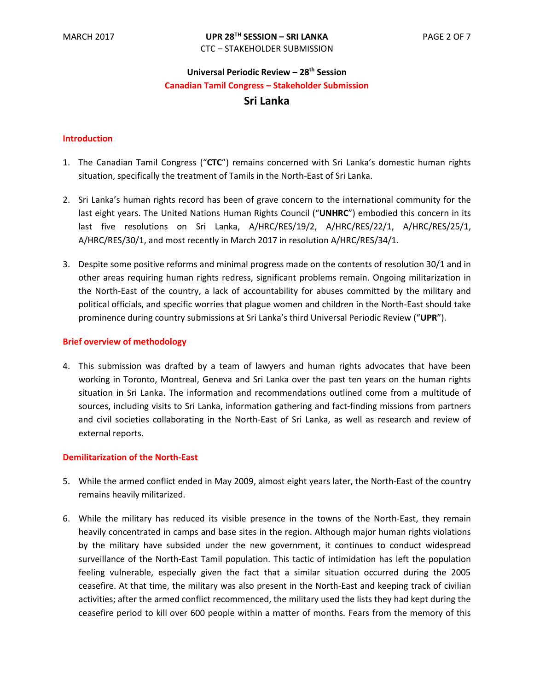# **Universal Periodic Review – 28th Session Canadian Tamil Congress – Stakeholder Submission Sri Lanka**

# **Introduction**

- 1. The Canadian Tamil Congress ("**CTC**") remains concerned with Sri Lanka's domestic human rights situation, specifically the treatment of Tamils in the North-East of Sri Lanka.
- 2. Sri Lanka's human rights record has been of grave concern to the international community for the last eight years. The United Nations Human Rights Council ("**UNHRC**") embodied this concern in its last five resolutions on Sri Lanka, A/HRC/RES/19/2, A/HRC/RES/22/1, A/HRC/RES/25/1, A/HRC/RES/30/1, and most recently in March 2017 in resolution A/HRC/RES/34/1.
- 3. Despite some positive reforms and minimal progress made on the contents of resolution 30/1 and in other areas requiring human rights redress, significant problems remain. Ongoing militarization in the North-East of the country, a lack of accountability for abuses committed by the military and political officials, and specific worries that plague women and children in the North-East should take prominence during country submissions at Sri Lanka's third Universal Periodic Review ("**UPR**").

# **Brief overview of methodology**

4. This submission was drafted by a team of lawyers and human rights advocates that have been working in Toronto, Montreal, Geneva and Sri Lanka over the past ten years on the human rights situation in Sri Lanka. The information and recommendations outlined come from a multitude of sources, including visits to Sri Lanka, information gathering and fact-finding missions from partners and civil societies collaborating in the North-East of Sri Lanka, as well as research and review of external reports.

## **Demilitarization of the North-East**

- 5. While the armed conflict ended in May 2009, almost eight years later, the North-East of the country remains heavily militarized.
- 6. While the military has reduced its visible presence in the towns of the North-East, they remain heavily concentrated in camps and base sites in the region. Although major human rights violations by the military have subsided under the new government, it continues to conduct widespread surveillance of the North-East Tamil population. This tactic of intimidation has left the population feeling vulnerable, especially given the fact that a similar situation occurred during the 2005 ceasefire. At that time, the military was also present in the North-East and keeping track of civilian activities; after the armed conflict recommenced, the military used the lists they had kept during the ceasefire period to kill over 600 people within a matter of months*.* Fears from the memory of this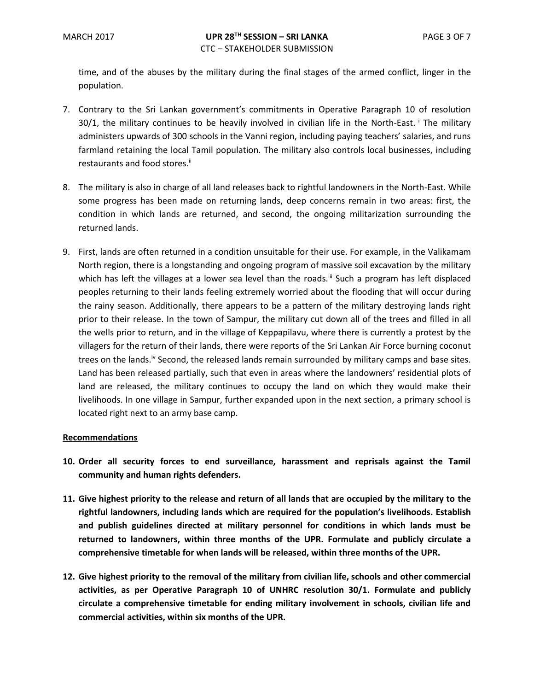time, and of the abuses by the military during the final stages of the armed conflict, linger in the population.

- 7. Contrary to the Sri Lankan government's commitments in Operative Paragraph 10 of resolution 30/1, the military continues to be heavily involved in civilian life in the North-East. <sup>i</sup> The military administers upwards of 300 schools in the Vanni region, including paying teachers' salaries, and runs farmland retaining the local Tamil population. The military also controls local businesses, including restaurants and food stores.<sup>ii</sup>
- 8. The military is also in charge of all land releases back to rightful landowners in the North-East. While some progress has been made on returning lands, deep concerns remain in two areas: first, the condition in which lands are returned, and second, the ongoing militarization surrounding the returned lands.
- 9. First, lands are often returned in a condition unsuitable for their use. For example, in the Valikamam North region, there is a longstanding and ongoing program of massive soil excavation by the military which has left the villages at a lower sea level than the roads.<sup>iii</sup> Such a program has left displaced peoples returning to their lands feeling extremely worried about the flooding that will occur during the rainy season. Additionally, there appears to be a pattern of the military destroying lands right prior to their release. In the town of Sampur, the military cut down all of the trees and filled in all the wells prior to return, and in the village of Keppapilavu, where there is currently a protest by the villagers for the return of their lands, there were reports of the Sri Lankan Air Force burning coconut trees on the lands.<sup>iv</sup> Second, the released lands remain surrounded by military camps and base sites. Land has been released partially, such that even in areas where the landowners' residential plots of land are released, the military continues to occupy the land on which they would make their livelihoods. In one village in Sampur, further expanded upon in the next section, a primary school is located right next to an army base camp.

## **Recommendations**

- **10. Order all security forces to end surveillance, harassment and reprisals against the Tamil community and human rights defenders.**
- **11. Give highest priority to the release and return of all lands that are occupied by the military to the rightful landowners, including lands which are required for the population's livelihoods. Establish and publish guidelines directed at military personnel for conditions in which lands must be returned to landowners, within three months of the UPR. Formulate and publicly circulate a comprehensive timetable for when lands will be released, within three months of the UPR.**
- **12. Give highest priority to the removal of the military from civilian life, schools and other commercial activities, as per Operative Paragraph 10 of UNHRC resolution 30/1. Formulate and publicly circulate a comprehensive timetable for ending military involvement in schools, civilian life and commercial activities, within six months of the UPR.**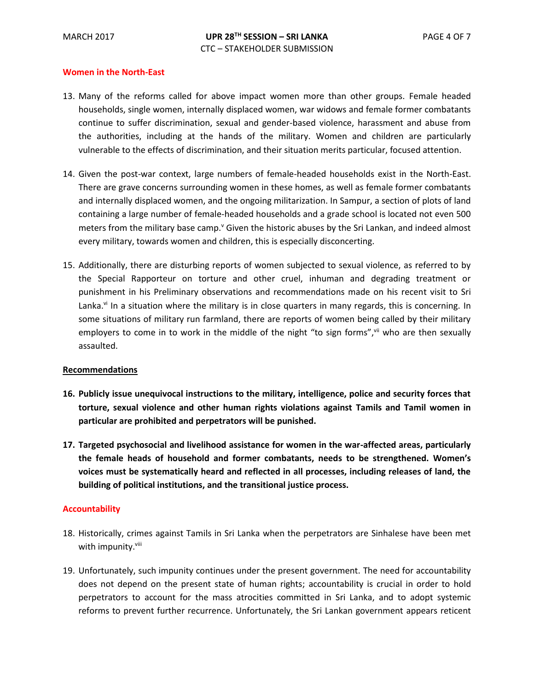# **Women in the North-East**

- 13. Many of the reforms called for above impact women more than other groups. Female headed households, single women, internally displaced women, war widows and female former combatants continue to suffer discrimination, sexual and gender-based violence, harassment and abuse from the authorities, including at the hands of the military. Women and children are particularly vulnerable to the effects of discrimination, and their situation merits particular, focused attention.
- 14. Given the post-war context, large numbers of female-headed households exist in the North-East. There are grave concerns surrounding women in these homes, as well as female former combatants and internally displaced women, and the ongoing militarization. In Sampur, a section of plots of land containing a large number of female-headed households and a grade school is located not even 500 meters from the military base camp.<sup> $V$ </sup> Given the historic abuses by the Sri Lankan, and indeed almost every military, towards women and children, this is especially disconcerting.
- 15. Additionally, there are disturbing reports of women subjected to sexual violence, as referred to by the Special Rapporteur on torture and other cruel, inhuman and degrading treatment or punishment in his Preliminary observations and recommendations made on his recent visit to Sri Lanka.<sup>vi</sup> In a situation where the military is in close quarters in many regards, this is concerning. In some situations of military run farmland, there are reports of women being called by their military employers to come in to work in the middle of the night "to sign forms", vii who are then sexually assaulted.

## **Recommendations**

- **16. Publicly issue unequivocal instructions to the military, intelligence, police and security forces that torture, sexual violence and other human rights violations against Tamils and Tamil women in particular are prohibited and perpetrators will be punished.**
- **17. Targeted psychosocial and livelihood assistance for women in the war-affected areas, particularly the female heads of household and former combatants, needs to be strengthened. Women's voices must be systematically heard and reflected in all processes, including releases of land, the building of political institutions, and the transitional justice process.**

## **Accountability**

- 18. Historically, crimes against Tamils in Sri Lanka when the perpetrators are Sinhalese have been met with impunity.<sup>viii</sup>
- 19. Unfortunately, such impunity continues under the present government. The need for accountability does not depend on the present state of human rights; accountability is crucial in order to hold perpetrators to account for the mass atrocities committed in Sri Lanka, and to adopt systemic reforms to prevent further recurrence. Unfortunately, the Sri Lankan government appears reticent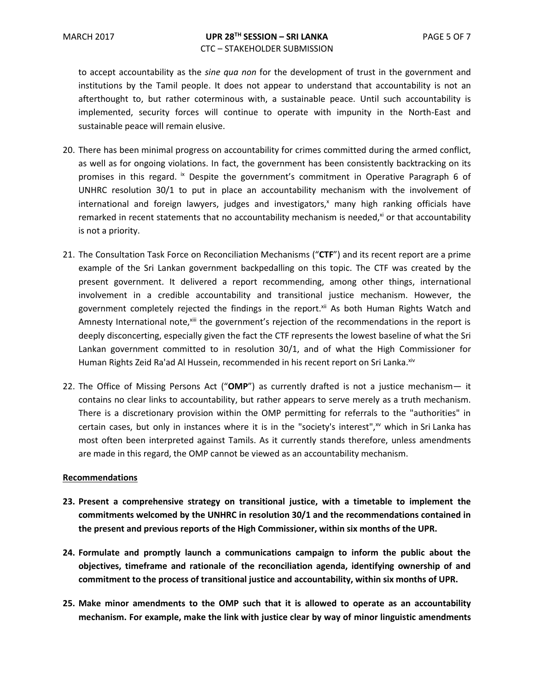to accept accountability as the *sine qua non* for the development of trust in the government and institutions by the Tamil people. It does not appear to understand that accountability is not an afterthought to, but rather coterminous with, a sustainable peace. Until such accountability is implemented, security forces will continue to operate with impunity in the North-East and sustainable peace will remain elusive.

- 20. There has been minimal progress on accountability for crimes committed during the armed conflict, as well as for ongoing violations. In fact, the government has been consistently backtracking on its promises in this regard. <sup>ix</sup> Despite the government's commitment in Operative Paragraph 6 of UNHRC resolution 30/1 to put in place an accountability mechanism with the involvement of international and foreign lawyers, judges and investigators, $x$  many high ranking officials have remarked in recent statements that no accountability mechanism is needed, $x_i$  or that accountability is not a priority.
- 21. The Consultation Task Force on Reconciliation Mechanisms ("**CTF**") and its recent report are a prime example of the Sri Lankan government backpedalling on this topic. The CTF was created by the present government. It delivered a report recommending, among other things, international involvement in a credible accountability and transitional justice mechanism. However, the government completely rejected the findings in the report.<sup>xii</sup> As both Human Rights Watch and Amnesty International note,<sup>xiii</sup> the government's rejection of the recommendations in the report is deeply disconcerting, especially given the fact the CTF represents the lowest baseline of what the Sri Lankan government committed to in resolution 30/1, and of what the High Commissioner for Human Rights Zeid Ra'ad Al Hussein, recommended in his recent report on Sri Lanka.<sup>xiv</sup>
- 22. The Office of Missing Persons Act ("**OMP**") as currently drafted is not a justice mechanism— it contains no clear links to accountability, but rather appears to serve merely as a truth mechanism. There is a discretionary provision within the OMP permitting for referrals to the "authorities" in certain cases, but only in instances where it is in the "society's interest", $x<sup>v</sup>$  which in Sri Lanka has most often been interpreted against Tamils. As it currently stands therefore, unless amendments are made in this regard, the OMP cannot be viewed as an accountability mechanism.

## **Recommendations**

- **23. Present a comprehensive strategy on transitional justice, with a timetable to implement the commitments welcomed by the UNHRC in resolution 30/1 and the recommendations contained in the present and previous reports of the High Commissioner, within six months of the UPR.**
- **24. Formulate and promptly launch a communications campaign to inform the public about the objectives, timeframe and rationale of the reconciliation agenda, identifying ownership of and commitment to the process of transitional justice and accountability, within six months of UPR.**
- **25. Make minor amendments to the OMP such that it is allowed to operate as an accountability mechanism. For example, make the link with justice clear by way of minor linguistic amendments**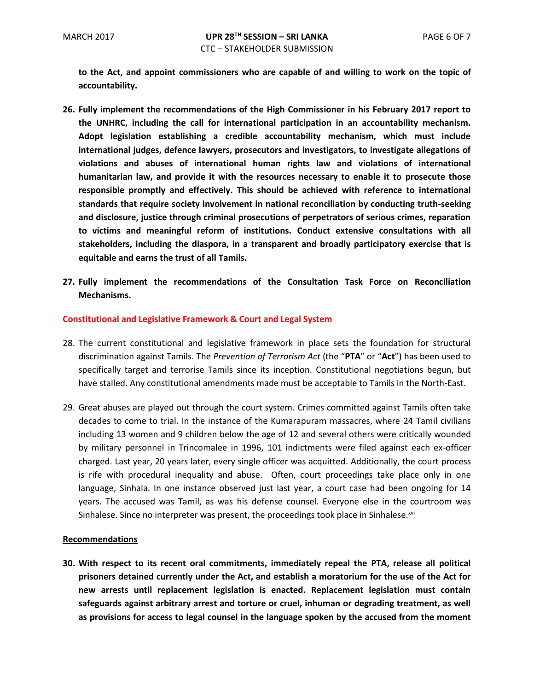**to the Act, and appoint commissioners who are capable of and willing to work on the topic of accountability.** 

- **26. Fully implement the recommendations of the High Commissioner in his February 2017 report to the UNHRC, including the call for international participation in an accountability mechanism. Adopt legislation establishing a credible accountability mechanism, which must include international judges, defence lawyers, prosecutors and investigators, to investigate allegations of violations and abuses of international human rights law and violations of international humanitarian law, and provide it with the resources necessary to enable it to prosecute those responsible promptly and effectively. This should be achieved with reference to international standards that require society involvement in national reconciliation by conducting truth-seeking and disclosure, justice through criminal prosecutions of perpetrators of serious crimes, reparation to victims and meaningful reform of institutions. Conduct extensive consultations with all stakeholders, including the diaspora, in a transparent and broadly participatory exercise that is equitable and earns the trust of all Tamils.**
- **27. Fully implement the recommendations of the Consultation Task Force on Reconciliation Mechanisms.**

# **Constitutional and Legislative Framework & Court and Legal System**

- 28. The current constitutional and legislative framework in place sets the foundation for structural discrimination against Tamils. The *Prevention of Terrorism Act* (the "**PTA**" or "**Act**") has been used to specifically target and terrorise Tamils since its inception. Constitutional negotiations begun, but have stalled. Any constitutional amendments made must be acceptable to Tamils in the North-East.
- 29. Great abuses are played out through the court system. Crimes committed against Tamils often take decades to come to trial. In the instance of the Kumarapuram massacres, where 24 Tamil civilians including 13 women and 9 children below the age of 12 and several others were critically wounded by military personnel in Trincomalee in 1996, 101 indictments were filed against each ex-officer charged. Last year, 20 years later, every single officer was acquitted. Additionally, the court process is rife with procedural inequality and abuse. Often, court proceedings take place only in one language, Sinhala. In one instance observed just last year, a court case had been ongoing for 14 years. The accused was Tamil, as was his defense counsel. Everyone else in the courtroom was Sinhalese. Since no interpreter was present, the proceedings took place in Sinhalese.<sup>xvi</sup>

## **Recommendations**

**30. With respect to its recent oral commitments, immediately repeal the PTA, release all political prisoners detained currently under the Act, and establish a moratorium for the use of the Act for new arrests until replacement legislation is enacted. Replacement legislation must contain safeguards against arbitrary arrest and torture or cruel, inhuman or degrading treatment, as well as provisions for access to legal counsel in the language spoken by the accused from the moment**